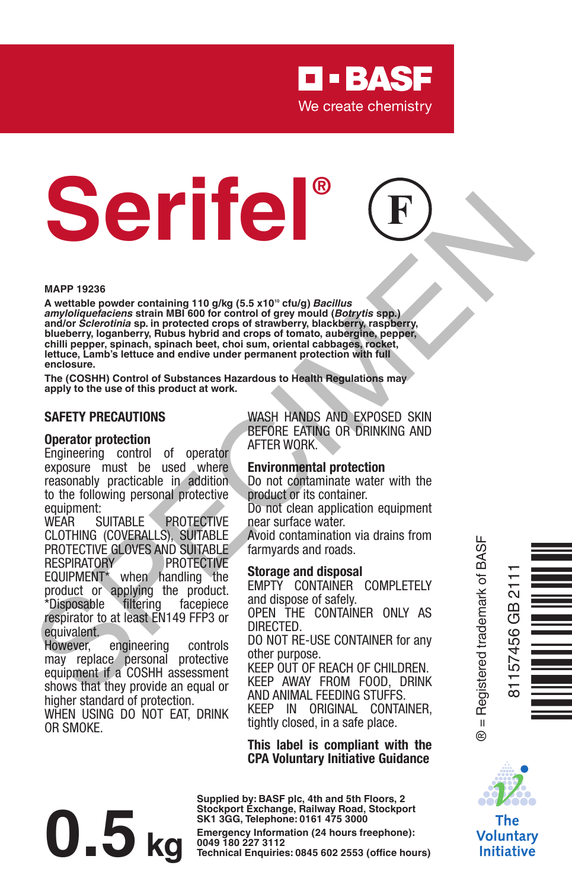

# **Serifel®**

#### **MAPP 19236**

A wettable powder containing 110 g/kg (5.5 x10<sup>10</sup> cfu/g) *Bacillus amyloliquefaciens* **strain MBI 600 for control of grey mould (***Botrytis* **spp.) and/or** *Sclerotinia* **sp. in protected crops of strawberry, blackberry, raspberry, blueberry, loganberry, Rubus hybrid and crops of tomato, aubergine, pepper,**  chilli pepper, spinach, spinach beet, choi sum, oriental cabbages, rocket **lettuce, Lamb's lettuce and endive under permanent protection with full enclosure.** MAPP 19285<br>
Martinble particle containing 110 a<sup>fte</sup> (16.5 x19° chi/a) Bealting<br>
annifolds detection as in protected crops of strawberry, blackberry, rapplemy,<br>
blankfors, regulators, rapplemy, blackberry, rapplemy,<br>
blank

**The (COSHH) Control of Substances Hazardous to Health Regulations may apply to the use of this product at work.**

#### **SAFETY PRECAUTIONS**

#### **Operator protection**

Engineering control of operator exposure must be used where reasonably practicable in addition to the following personal protective equipment:<br>WFAR SUITARI F

PROTECTIVE CLOTHING (COVERALLS), SUITABLE PROTECTIVE GLOVES AND SUITABLE<br>RESPIRATORY PROTECTIVE **PROTECTIVE** EQUIPMENT\* when handling the product or applying the product. \*Disposable filtering facepiece respirator to at least EN149 FFP3 or equivalent.<br>However.

engineering controls may replace personal protective equipment if a COSHH assessment shows that they provide an equal or higher standard of protection. WHEN USING DO NOT EAT, DRINK OR SMOKE.

WASH HANDS AND EXPOSED SKIN BEFORE EATING OR DRINKING AND AFTER WORK.

#### **Environmental protection**

Do not contaminate water with the product or its container. Do not clean application equipment

near surface water.

Avoid contamination via drains from farmyards and roads.

#### **Storage and disposal**

EMPTY CONTAINER COMPLETELY and dispose of safely.

OPEN THE CONTAINER ONLY AS DIRECTED.

DO NOT RE-USE CONTAINER for any other purpose.

KEEP OUT OF REACH OF CHILDREN. KEEP AWAY FROM FOOD, DRINK AND ANIMAL FEEDING STUFFS. KEEP IN ORIGINAL CONTAINER, tightly closed, in a safe place.

**This label is compliant with the CPA Voluntary Initiative Guidance**

# **Examples: CM EXEC EXEC EXECUTE SANCE (24 hours freephone): CM D D D D D D D D Execution** (24 hours freephone):

**Supplied by: BASF plc, 4th and 5th Floors, 2 Stockport Exchange, Railway Road, Stockport SK1 3GG, Telephone: 0161 475 3000**

® = Registered trademark of BASF  $^{\circ}$ 





Voluntarv **Initiative**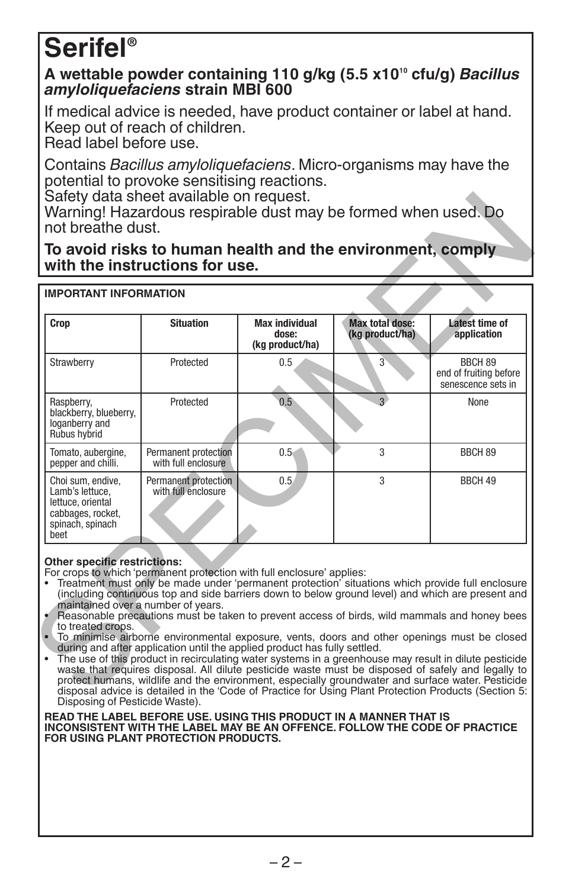# **Serifel®**

#### **A wettable powder containing 110 g/kg (5.5 x1010 cfu/g)** *Bacillus amyloliquefaciens* **strain MBI 600**

If medical advice is needed, have product container or label at hand. Keep out of reach of children.

Read label before use.

Contains *Bacillus amyloliquefaciens*. Micro-organisms may have the potential to provoke sensitising reactions.

Safety data sheet available on request.

|                                                                                                             |                                             | Max individual<br>dose:<br>(kg product/ha) | <b>Max total dose:</b><br>(kg product/ha) | Latest time of<br>application                           |
|-------------------------------------------------------------------------------------------------------------|---------------------------------------------|--------------------------------------------|-------------------------------------------|---------------------------------------------------------|
| Strawberry                                                                                                  | Protected                                   | 0.5                                        | 3                                         | BBCH 89<br>end of fruiting before<br>senescence sets in |
| Raspberry,<br>blackberry, blueberry,<br>loganberry and<br>Rubus hvbrid                                      | Protected                                   | 0.5                                        | $\overline{a}$                            | None                                                    |
| Tomato, aubergine,<br>pepper and chilli.                                                                    | Permanent protection<br>with full enclosure | $0.5 -$                                    | 3                                         | BBCH 89                                                 |
| Choi sum, endive.<br>I amb's lettuce.<br>lettuce, oriental<br>cabbages, rocket,<br>spinach, spinach<br>beet | Permanent protection<br>with full enclosure | 0.5.                                       | 3                                         | BBCH 49                                                 |

#### **Other specific restrictions:**

- Treatment must only be made under 'permanent protection' situations which provide full enclosure (including continuous top and side barriers down to below ground level) and which are present and maintained over a number of years.
- Reasonable precautions must be taken to prevent access of birds, wild mammals and honey bees to treated crops.
- To minimise airborne environmental exposure, vents, doors and other openings must be closed
- during and after application until the applied product has fully settled. The use of this product in recirculating water systems in a greenhouse may result in dilute pesticide waste that requires disposal. All dilute pesticide waste must be disposed of safely and legally to protect humans, wildlife and the environment, especially groundwater and surface water. Pesticide disposal advice is detailed in the 'Code of Practice for Using Plant Protection Products (Section 5: Disposing of Pesticide Waste).

**READ THE LABEL BEFORE USE. USING THIS PRODUCT IN A MANNER THAT IS INCONSISTENT WITH THE LABEL MAY BE AN OFFENCE. FOLLOW THE CODE OF PRACTICE FOR USING PLANT PROTECTION PRODUCTS.**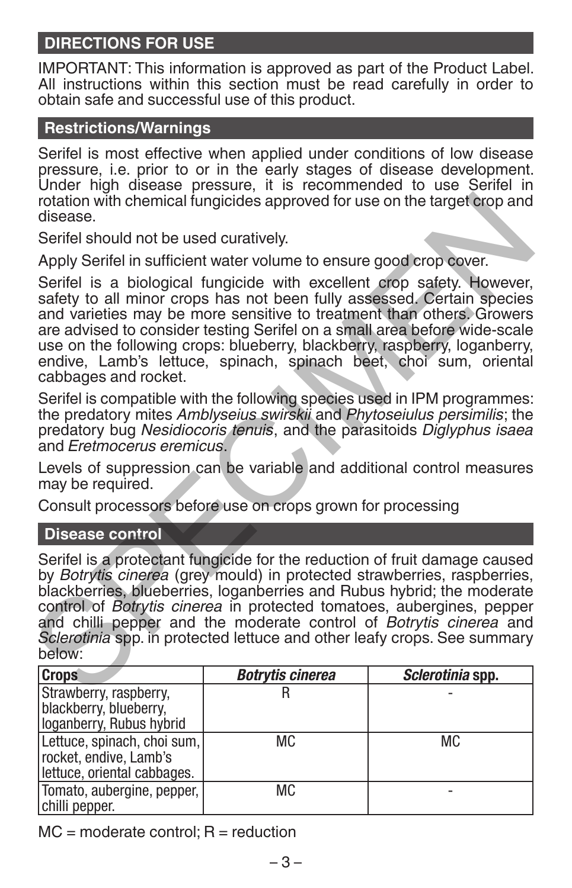# **DIRECTIONS FOR USE**

IMPORTANT: This information is approved as part of the Product Label. All instructions within this section must be read carefully in order to obtain safe and successful use of this product.

# **Restrictions/Warnings**

Serifel is most effective when applied under conditions of low disease pressure, i.e. prior to or in the early stages of disease development. Under high disease pressure, it is recommended to use Serifel in rotation with chemical fungicides approved for use on the target crop and disease.

Serifel should not be used curatively.

Apply Serifel in sufficient water volume to ensure good crop cover.

Serifel is a biological fungicide with excellent crop safety. However, safety to all minor crops has not been fully assessed. Certain species and varieties may be more sensitive to treatment than others. Growers are advised to consider testing Serifel on a small area before wide-scale use on the following crops: blueberry, blackberry, raspberry, loganberry, endive, Lamb's lettuce, spinach, spinach beet, choi sum, oriental cabbages and rocket.

Serifel is compatible with the following species used in IPM programmes: the predatory mites *Amblyseius swirskii* and *Phytoseiulus persimilis*; the predatory bug *Nesidiocoris tenuis*, and the parasitoids *Diglyphus isaea* and *Eretmocerus eremicus*.

Levels of suppression can be variable and additional control measures may be required.

Consult processors before use on crops grown for processing

#### **Disease control**

Serifel is a protectant fungicide for the reduction of fruit damage caused by *Botrytis cinerea* (grey mould) in protected strawberries, raspberries, blackberries, blueberries, loganberries and Rubus hybrid; the moderate control of *Botrytis cinerea* in protected tomatoes, aubergines, pepper and chilli pepper and the moderate control of *Botrytis cinerea* and *Sclerotinia* spp. in protected lettuce and other leafy crops. See summary below: rotation with chemical fungicides approved for use on the target crop and<br>disease.<br>Serifel should not be used curatively.<br>Apply Serifel in sufficient water volume to ensure good crop cover.<br>Serifel is a biological fungicid

| <b>Crops</b>                 | <b>Botrytis cinerea</b> | Sclerotinia spp. |
|------------------------------|-------------------------|------------------|
| Strawberry, raspberry,       |                         |                  |
| blackberry, blueberry,       |                         |                  |
| loganberry, Rubus hybrid     |                         |                  |
| Lettuce, spinach, choi sum,  | МC                      | <b>MC</b>        |
| rocket, endive, Lamb's       |                         |                  |
| lettuce, oriental cabbages.  |                         |                  |
| Tomato, aubergine, pepper, I | МC                      |                  |
| chilli pepper.               |                         |                  |

 $MC = moderate control; R = reduction$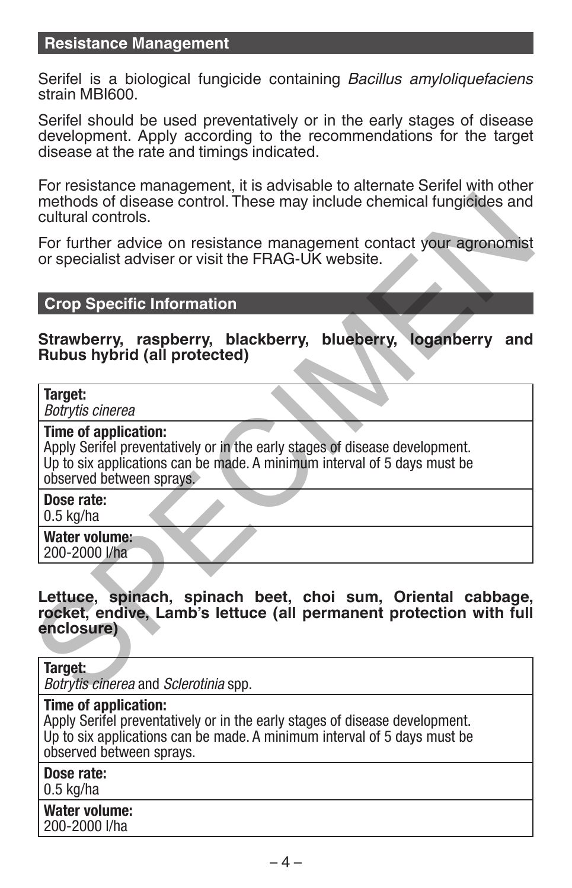### **Resistance Management**

Serifel is a biological fungicide containing *Bacillus amyloliquefaciens* strain MBI600.

Serifel should be used preventatively or in the early stages of disease development. Apply according to the recommendations for the target disease at the rate and timings indicated.

For resistance management, it is advisable to alternate Serifel with other methods of disease control. These may include chemical fungicides and cultural controls.

For further advice on resistance management contact your agronomist or specialist adviser or visit the FRAG-UK website.

#### **Crop Specific Information**

**Strawberry, raspberry, blackberry, blueberry, loganberry and Rubus hybrid (all protected)**

#### **Target:**

*Botrytis cinerea*

#### **Time of application:**

Apply Serifel preventatively or in the early stages of disease development. Up to six applications can be made. A minimum interval of 5 days must be observed between sprays.

**Dose rate:**

0.5 kg/ha

**Water volume:** 200-2000 l/ha

**Lettuce, spinach, spinach beet, choi sum, Oriental cabbage, rocket, endive, Lamb's lettuce (all permanent protection with full enclosure)** methods of disease control. These may include chemical fungicides and<br>cultural controls.<br>For further advice on resistance management contact your agronomist<br>for specialist adviser or visit the FRAG-UK website.<br>**Crop Specif** 

**Target:**

*Botrytis cinerea* and *Sclerotinia* spp.

#### **Time of application:**

Apply Serifel preventatively or in the early stages of disease development. Up to six applications can be made. A minimum interval of 5 days must be observed between sprays.

**Dose rate:**

0.5 kg/ha

**Water volume:** 200-2000 l/ha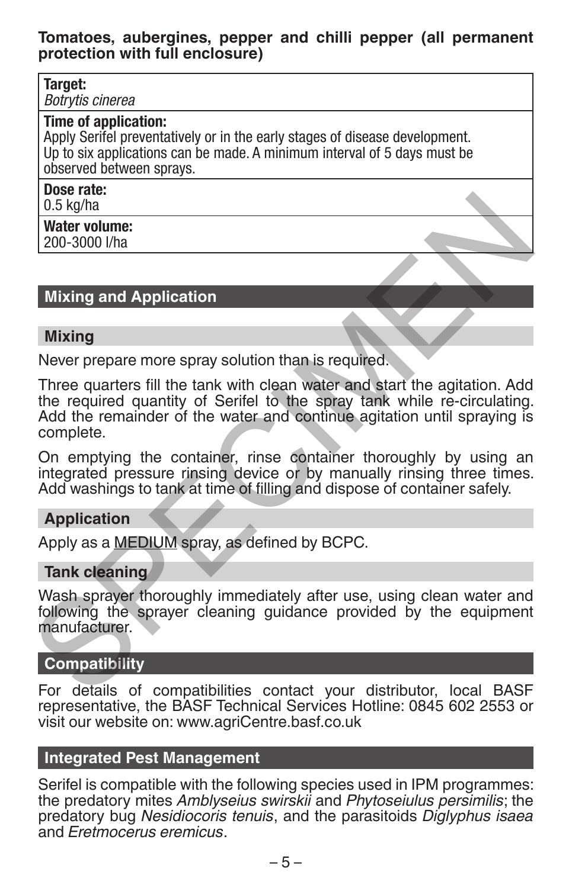#### **Tomatoes, aubergines, pepper and chilli pepper (all permanent protection with full enclosure)**

#### **Target:**

*Botrytis cinerea*

#### **Time of application:**

Apply Serifel preventatively or in the early stages of disease development. Up to six applications can be made. A minimum interval of 5 days must be observed between sprays.

#### **Dose rate:**

0.5 kg/ha

#### **Water volume:**

200-3000 l/ha

### **Mixing and Application**

#### **Mixing**

Never prepare more spray solution than is required.

Three quarters fill the tank with clean water and start the agitation. Add the required quantity of Serifel to the spray tank while re-circulating. Add the remainder of the water and continue agitation until spraying is complete. **O.5 kg/ha**<br>
Water volume:<br>
200-3000 Uha<br>
Wixing and Application<br>
Mixing Never prepare more spray solution than is required.<br>
Three quarters fill the tank with clean water and start the agitation. Add<br>
the required quantit

On emptying the container, rinse container thoroughly by using an integrated pressure rinsing device or by manually rinsing three times. Add washings to tank at time of filling and dispose of container safely.

#### **Application**

Apply as a MEDIUM spray, as defined by BCPC.

#### **Tank cleaning**

Wash sprayer thoroughly immediately after use, using clean water and following the sprayer cleaning guidance provided by the equipment manufacturer.

### **Compatibility**

For details of compatibilities contact your distributor, local BASF representative, the BASF Technical Services Hotline: 0845 602 2553 or visit our website on: www.agriCentre.basf.co.uk

### **Integrated Pest Management**

Serifel is compatible with the following species used in IPM programmes: the predatory mites *Amblyseius swirskii* and *Phytoseiulus persimilis*; the predatory bug *Nesidiocoris tenuis*, and the parasitoids *Diglyphus isaea* and *Eretmocerus eremicus*.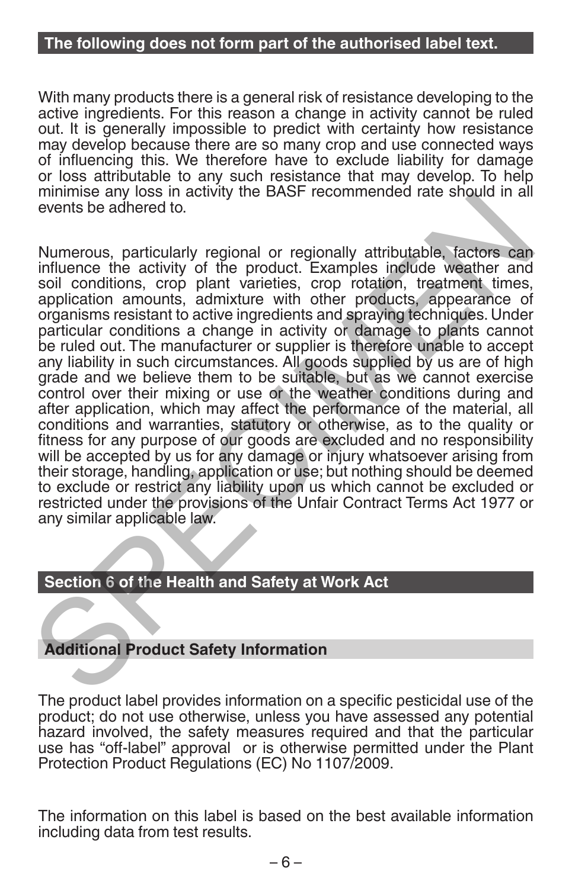#### **The following does not form part of the authorised label text.**

With many products there is a general risk of resistance developing to the active ingredients. For this reason a change in activity cannot be ruled out. It is generally impossible to predict with certainty how resistance may develop because there are so many crop and use connected ways of influencing this. We therefore have to exclude liability for damage or loss attributable to any such resistance that may develop. To help minimise any loss in activity the BASF recommended rate should in all events be adhered to.

Numerous, particularly regional or regionally attributable, factors can influence the activity of the product. Examples include weather and soil conditions, crop plant varieties, crop rotation, treatment times, application amounts, admixture with other products, appearance of organisms resistant to active ingredients and spraying techniques. Under particular conditions a change in activity or damage to plants cannot be ruled out. The manufacturer or supplier is therefore unable to accept any liability in such circumstances. All goods supplied by us are of high grade and we believe them to be suitable, but as we cannot exercise control over their mixing or use or the weather conditions during and after application, which may affect the performance of the material, all conditions and warranties, statutory or otherwise, as to the quality or fitness for any purpose of our goods are excluded and no responsibility will be accepted by us for any damage or injury whatsoever arising from their storage, handling, application or use; but nothing should be deemed to exclude or restrict any liability upon us which cannot be excluded or restricted under the provisions of the Unfair Contract Terms Act 1977 or any similar applicable law. minimise any loss in activity and or regionally attributable, factors can<br>events be adhered to.<br>Numerous, particularly regional or regionally attributable, factors can<br>influence the activity of the product. Examples includ

#### **Section 6 of the Health and Safety at Work Act**

# **Additional Product Safety Information**

The product label provides information on a specific pesticidal use of the product; do not use otherwise, unless you have assessed any potential hazard involved, the safety measures required and that the particular use has "off-label" approval or is otherwise permitted under the Plant Protection Product Regulations (EC) No 1107/2009.

The information on this label is based on the best available information including data from test results.